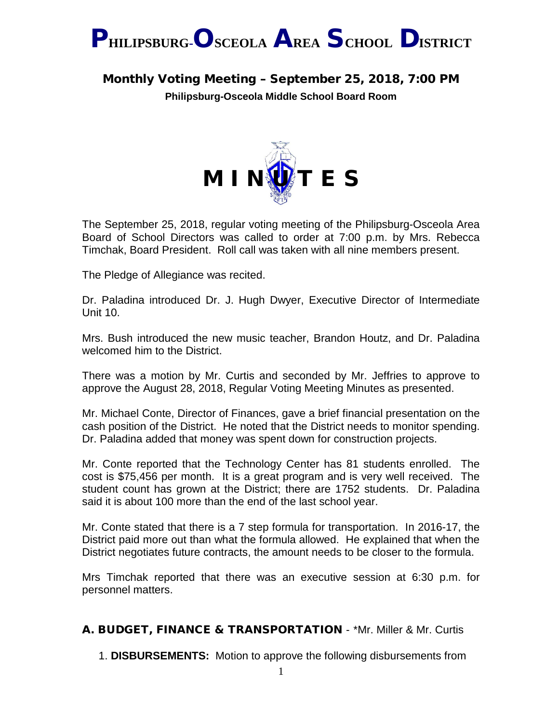

# Monthly Voting Meeting – September 25, 2018, 7:00 PM

**Philipsburg-Osceola Middle School Board Room**



The September 25, 2018, regular voting meeting of the Philipsburg-Osceola Area Board of School Directors was called to order at 7:00 p.m. by Mrs. Rebecca Timchak, Board President. Roll call was taken with all nine members present.

The Pledge of Allegiance was recited.

Dr. Paladina introduced Dr. J. Hugh Dwyer, Executive Director of Intermediate Unit 10.

Mrs. Bush introduced the new music teacher, Brandon Houtz, and Dr. Paladina welcomed him to the District.

There was a motion by Mr. Curtis and seconded by Mr. Jeffries to approve to approve the August 28, 2018, Regular Voting Meeting Minutes as presented.

Mr. Michael Conte, Director of Finances, gave a brief financial presentation on the cash position of the District. He noted that the District needs to monitor spending. Dr. Paladina added that money was spent down for construction projects.

Mr. Conte reported that the Technology Center has 81 students enrolled. The cost is \$75,456 per month. It is a great program and is very well received. The student count has grown at the District; there are 1752 students. Dr. Paladina said it is about 100 more than the end of the last school year.

Mr. Conte stated that there is a 7 step formula for transportation. In 2016-17, the District paid more out than what the formula allowed. He explained that when the District negotiates future contracts, the amount needs to be closer to the formula.

Mrs Timchak reported that there was an executive session at 6:30 p.m. for personnel matters.

## A. BUDGET, FINANCE & TRANSPORTATION - \*Mr. Miller & Mr. Curtis

1. **DISBURSEMENTS:** Motion to approve the following disbursements from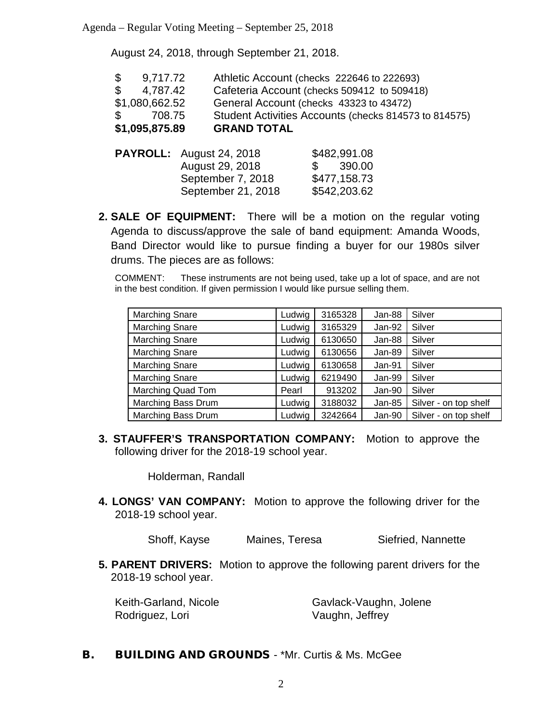August 24, 2018, through September 21, 2018.

| \$1,095,875.89           | <b>GRAND TOTAL</b>                                    |
|--------------------------|-------------------------------------------------------|
| $\mathbb{S}$<br>708.75   | Student Activities Accounts (checks 814573 to 814575) |
| \$1,080,662.52           | General Account (checks 43323 to 43472)               |
| \$ 4,787.42              | Cafeteria Account (checks 509412 to 509418)           |
| $\mathbb{S}$<br>9,717.72 | Athletic Account (checks 222646 to 222693)            |

| <b>PAYROLL:</b> August 24, 2018 | \$482,991.08 |
|---------------------------------|--------------|
| August 29, 2018                 | \$390.00     |
| September 7, 2018               | \$477,158.73 |
| September 21, 2018              | \$542,203.62 |

**2. SALE OF EQUIPMENT:** There will be a motion on the regular voting Agenda to discuss/approve the sale of band equipment: Amanda Woods, Band Director would like to pursue finding a buyer for our 1980s silver drums. The pieces are as follows:

COMMENT: These instruments are not being used, take up a lot of space, and are not in the best condition. If given permission I would like pursue selling them.

| <b>Marching Snare</b>     | Ludwig | 3165328 | Jan-88   | Silver                |
|---------------------------|--------|---------|----------|-----------------------|
| <b>Marching Snare</b>     | Ludwig | 3165329 | Jan-92   | Silver                |
| <b>Marching Snare</b>     | Ludwig | 6130650 | Jan-88   | Silver                |
| <b>Marching Snare</b>     | Ludwig | 6130656 | Jan-89   | Silver                |
| <b>Marching Snare</b>     | Ludwig | 6130658 | Jan-91   | Silver                |
| <b>Marching Snare</b>     | Ludwig | 6219490 | Jan-99   | Silver                |
| <b>Marching Quad Tom</b>  | Pearl  | 913202  | Jan-90   | Silver                |
| <b>Marching Bass Drum</b> | Ludwig | 3188032 | $Jan-85$ | Silver - on top shelf |
| Marching Bass Drum        | Ludwig | 3242664 | Jan-90   | Silver - on top shelf |

**3. STAUFFER'S TRANSPORTATION COMPANY:** Motion to approve the following driver for the 2018-19 school year.

Holderman, Randall

**4. LONGS' VAN COMPANY:** Motion to approve the following driver for the 2018-19 school year.

Shoff, Kayse Maines, Teresa Siefried, Nannette

**5. PARENT DRIVERS:** Motion to approve the following parent drivers for the 2018-19 school year.

Rodriguez, Lori Vaughn, Jeffrey

Keith-Garland, Nicole Gavlack-Vaughn, Jolene

**B.** BUILDING AND GROUNDS - \*Mr. Curtis & Ms. McGee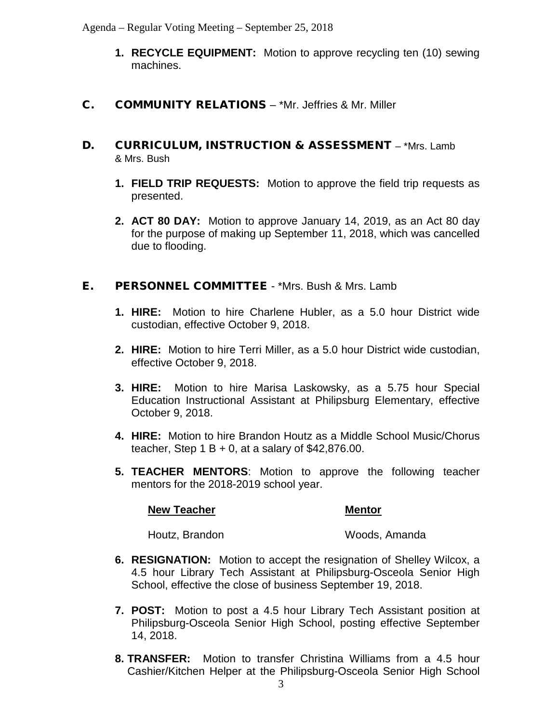- **1. RECYCLE EQUIPMENT:** Motion to approve recycling ten (10) sewing machines.
- C. COMMUNITY RELATIONS \*Mr. Jeffries & Mr. Miller
- D. CURRICULUM, INSTRUCTION & ASSESSMENT \*Mrs. Lamb & Mrs. Bush
	- **1. FIELD TRIP REQUESTS:** Motion to approve the field trip requests as presented.
	- **2. ACT 80 DAY:** Motion to approve January 14, 2019, as an Act 80 day for the purpose of making up September 11, 2018, which was cancelled due to flooding.

## E. PERSONNEL COMMITTEE - \*Mrs. Bush & Mrs. Lamb

- **1. HIRE:** Motion to hire Charlene Hubler, as a 5.0 hour District wide custodian, effective October 9, 2018.
- **2. HIRE:** Motion to hire Terri Miller, as a 5.0 hour District wide custodian, effective October 9, 2018.
- **3. HIRE:** Motion to hire Marisa Laskowsky, as a 5.75 hour Special Education Instructional Assistant at Philipsburg Elementary, effective October 9, 2018.
- **4. HIRE:** Motion to hire Brandon Houtz as a Middle School Music/Chorus teacher, Step  $1 B + 0$ , at a salary of \$42,876.00.
- **5. TEACHER MENTORS**: Motion to approve the following teacher mentors for the 2018-2019 school year.

### **New Teacher Mentor Mentor**

Houtz, Brandon Woods, Amanda

- **6. RESIGNATION:** Motion to accept the resignation of Shelley Wilcox, a 4.5 hour Library Tech Assistant at Philipsburg-Osceola Senior High School, effective the close of business September 19, 2018.
- **7. POST:** Motion to post a 4.5 hour Library Tech Assistant position at Philipsburg-Osceola Senior High School, posting effective September 14, 2018.
- **8. TRANSFER:** Motion to transfer Christina Williams from a 4.5 hour Cashier/Kitchen Helper at the Philipsburg-Osceola Senior High School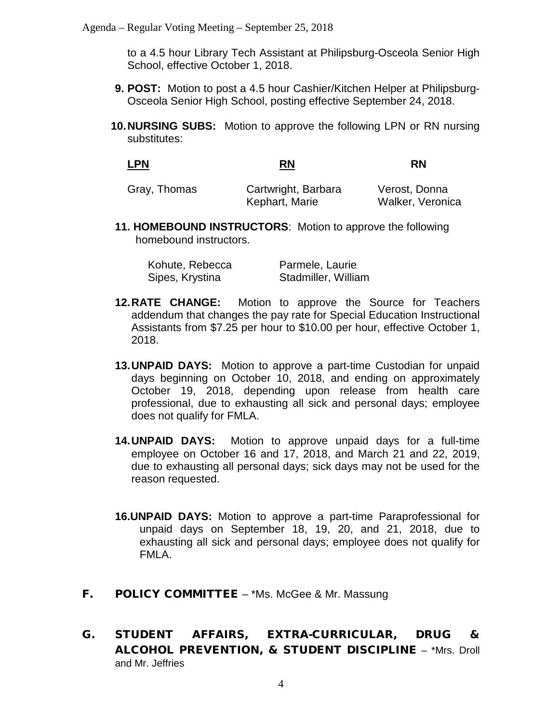to a 4.5 hour Library Tech Assistant at Philipsburg-Osceola Senior High School, effective October 1, 2018.

- **9. POST:** Motion to post a 4.5 hour Cashier/Kitchen Helper at Philipsburg-Osceola Senior High School, posting effective September 24, 2018.
- **10.NURSING SUBS:** Motion to approve the following LPN or RN nursing substitutes:

| <b>LPN</b> | וגם<br><b>KN</b> | -<br>'N<br>. |
|------------|------------------|--------------|
|            |                  |              |

| Gray, Thomas | Cartwright, Barbara | Verost, Donna    |
|--------------|---------------------|------------------|
|              | Kephart, Marie      | Walker, Veronica |

**11. HOMEBOUND INSTRUCTORS**: Motion to approve the following homebound instructors.

| Kohute, Rebecca | Parmele, Laurie     |
|-----------------|---------------------|
| Sipes, Krystina | Stadmiller, William |

- **12.RATE CHANGE:** Motion to approve the Source for Teachers addendum that changes the pay rate for Special Education Instructional Assistants from \$7.25 per hour to \$10.00 per hour, effective October 1, 2018.
- **13.UNPAID DAYS:** Motion to approve a part-time Custodian for unpaid days beginning on October 10, 2018, and ending on approximately October 19, 2018, depending upon release from health care professional, due to exhausting all sick and personal days; employee does not qualify for FMLA.
- **14.UNPAID DAYS:** Motion to approve unpaid days for a full-time employee on October 16 and 17, 2018, and March 21 and 22, 2019, due to exhausting all personal days; sick days may not be used for the reason requested.
- **16.UNPAID DAYS:** Motion to approve a part-time Paraprofessional for unpaid days on September 18, 19, 20, and 21, 2018, due to exhausting all sick and personal days; employee does not qualify for FMLA.
- **F. POLICY COMMITTEE** \*Ms. McGee & Mr. Massung
- G. STUDENT AFFAIRS, EXTRA-CURRICULAR, DRUG & ALCOHOL PREVENTION, & STUDENT DISCIPLINE – \*Mrs. Droll and Mr. Jeffries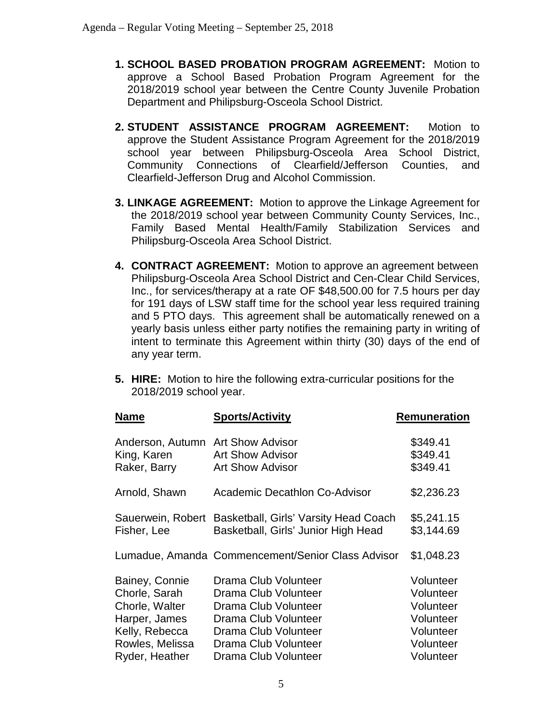- **1. SCHOOL BASED PROBATION PROGRAM AGREEMENT:** Motion to approve a School Based Probation Program Agreement for the 2018/2019 school year between the Centre County Juvenile Probation Department and Philipsburg-Osceola School District.
- **2. STUDENT ASSISTANCE PROGRAM AGREEMENT:** Motion to approve the Student Assistance Program Agreement for the 2018/2019 school year between Philipsburg-Osceola Area School District, Community Connections of Clearfield/Jefferson Counties, and Clearfield-Jefferson Drug and Alcohol Commission.
- **3. LINKAGE AGREEMENT:** Motion to approve the Linkage Agreement for the 2018/2019 school year between Community County Services, Inc., Family Based Mental Health/Family Stabilization Services and Philipsburg-Osceola Area School District.
- **4. CONTRACT AGREEMENT:** Motion to approve an agreement between Philipsburg-Osceola Area School District and Cen-Clear Child Services, Inc., for services/therapy at a rate OF \$48,500.00 for 7.5 hours per day for 191 days of LSW staff time for the school year less required training and 5 PTO days. This agreement shall be automatically renewed on a yearly basis unless either party notifies the remaining party in writing of intent to terminate this Agreement within thirty (30) days of the end of any year term.
- **5. HIRE:** Motion to hire the following extra-curricular positions for the 2018/2019 school year.

| <b>Name</b>       | <b>Sports/Activity</b>                            | <b>Remuneration</b> |
|-------------------|---------------------------------------------------|---------------------|
| Anderson, Autumn  | <b>Art Show Advisor</b>                           | \$349.41            |
| King, Karen       | <b>Art Show Advisor</b>                           | \$349.41            |
| Raker, Barry      | <b>Art Show Advisor</b>                           | \$349.41            |
| Arnold, Shawn     | <b>Academic Decathlon Co-Advisor</b>              | \$2,236.23          |
| Sauerwein, Robert | Basketball, Girls' Varsity Head Coach             | \$5,241.15          |
| Fisher, Lee       | Basketball, Girls' Junior High Head               | \$3,144.69          |
|                   | Lumadue, Amanda Commencement/Senior Class Advisor | \$1,048.23          |
| Bainey, Connie    | Drama Club Volunteer                              | Volunteer           |
| Chorle, Sarah     | Drama Club Volunteer                              | Volunteer           |
| Chorle, Walter    | Drama Club Volunteer                              | Volunteer           |
| Harper, James     | Drama Club Volunteer                              | Volunteer           |
| Kelly, Rebecca    | Drama Club Volunteer                              | Volunteer           |
| Rowles, Melissa   | Drama Club Volunteer                              | Volunteer           |
| Ryder, Heather    | Drama Club Volunteer                              | Volunteer           |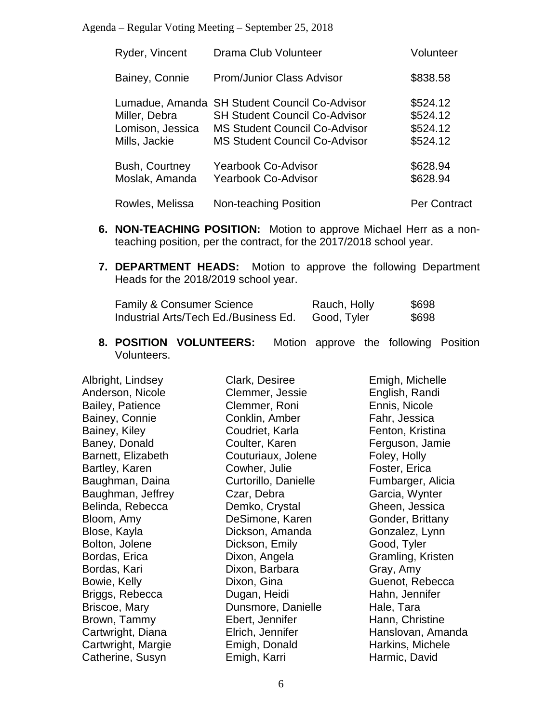| Ryder, Vincent                                                        | Drama Club Volunteer                                                                                                                                         | Volunteer                                    |
|-----------------------------------------------------------------------|--------------------------------------------------------------------------------------------------------------------------------------------------------------|----------------------------------------------|
| Bainey, Connie                                                        | <b>Prom/Junior Class Advisor</b>                                                                                                                             | \$838.58                                     |
| Lumadue, Amanda<br>Miller, Debra<br>Lomison, Jessica<br>Mills, Jackie | <b>SH Student Council Co-Advisor</b><br><b>SH Student Council Co-Advisor</b><br><b>MS Student Council Co-Advisor</b><br><b>MS Student Council Co-Advisor</b> | \$524.12<br>\$524.12<br>\$524.12<br>\$524.12 |
| Bush, Courtney<br>Moslak, Amanda                                      | <b>Yearbook Co-Advisor</b><br><b>Yearbook Co-Advisor</b>                                                                                                     | \$628.94<br>\$628.94                         |
| Rowles, Melissa                                                       | Non-teaching Position                                                                                                                                        | <b>Per Contract</b>                          |

- **6. NON-TEACHING POSITION:** Motion to approve Michael Herr as a nonteaching position, per the contract, for the 2017/2018 school year.
- **7. DEPARTMENT HEADS:** Motion to approve the following Department Heads for the 2018/2019 school year.

| <b>Family &amp; Consumer Science</b>  | Rauch, Holly | \$698 |
|---------------------------------------|--------------|-------|
| Industrial Arts/Tech Ed./Business Ed. | Good, Tyler  | \$698 |

**8. POSITION VOLUNTEERS:** Motion approve the following Position Volunteers.

| Albright, Lindsey  | Clark, Desiree       | Emigh, Michelle   |
|--------------------|----------------------|-------------------|
| Anderson, Nicole   | Clemmer, Jessie      | English, Randi    |
| Bailey, Patience   | Clemmer, Roni        | Ennis, Nicole     |
| Bainey, Connie     | Conklin, Amber       | Fahr, Jessica     |
| Bainey, Kiley      | Coudriet, Karla      | Fenton, Kristina  |
| Baney, Donald      | Coulter, Karen       | Ferguson, Jamie   |
| Barnett, Elizabeth | Couturiaux, Jolene   | Foley, Holly      |
| Bartley, Karen     | Cowher, Julie        | Foster, Erica     |
| Baughman, Daina    | Curtorillo, Danielle | Fumbarger, Alicia |
| Baughman, Jeffrey  | Czar, Debra          | Garcia, Wynter    |
| Belinda, Rebecca   | Demko, Crystal       | Gheen, Jessica    |
| Bloom, Amy         | DeSimone, Karen      | Gonder, Brittany  |
| Blose, Kayla       | Dickson, Amanda      | Gonzalez, Lynn    |
| Bolton, Jolene     | Dickson, Emily       | Good, Tyler       |
| Bordas, Erica      | Dixon, Angela        | Gramling, Kristen |
| Bordas, Kari       | Dixon, Barbara       | Gray, Amy         |
| Bowie, Kelly       | Dixon, Gina          | Guenot, Rebecca   |
| Briggs, Rebecca    | Dugan, Heidi         | Hahn, Jennifer    |
| Briscoe, Mary      | Dunsmore, Danielle   | Hale, Tara        |
| Brown, Tammy       | Ebert, Jennifer      | Hann, Christine   |
| Cartwright, Diana  | Elrich, Jennifer     | Hanslovan, Amanda |
| Cartwright, Margie | Emigh, Donald        | Harkins, Michele  |
| Catherine, Susyn   | Emigh, Karri         | Harmic, David     |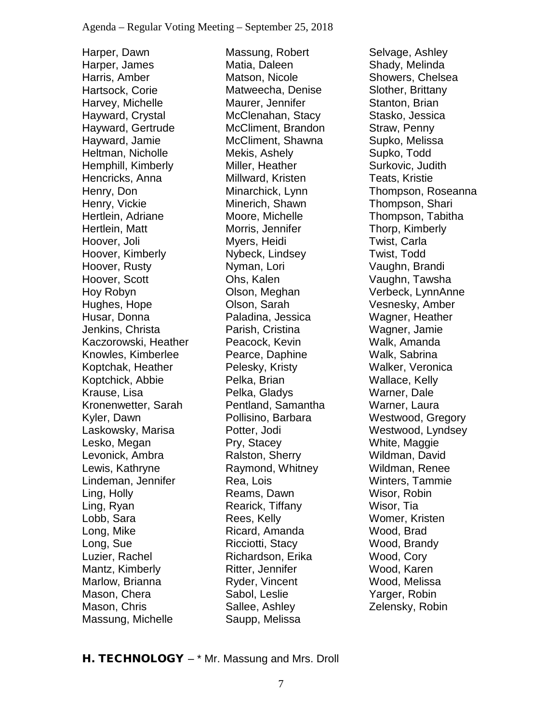Harper, Dawn Harper, James Harris, Amber Hartsock, Corie Harvey, Michelle Hayward, Crystal Hayward, Gertrude Hayward, Jamie Heltman, Nicholle Hemphill, Kimberly Hencricks, Anna Henry, Don Henry, Vickie Hertlein, Adriane Hertlein, Matt Hoover, Joli Hoover, Kimberly Hoover, Rusty Hoover, Scott Hoy Robyn Hughes, Hope Husar, Donna Jenkins, Christa Kaczorowski, Heather Knowles, Kimberlee Koptchak, Heather Koptchick, Abbie Krause, Lisa Kronenwetter, Sarah Kyler, Dawn Laskowsky, Marisa Lesko, Megan Levonick, Ambra Lewis, Kathryne Lindeman, Jennifer Ling, Holly Ling, Ryan Lobb, Sara Long, Mike Long, Sue Luzier, Rachel Mantz, Kimberly Marlow, Brianna Mason, Chera Mason, Chris Massung, Michelle

Massung, Robert Matia, Daleen Matson, Nicole Matweecha, Denise Maurer, Jennifer McClenahan, Stacy McCliment, Brandon McCliment, Shawna Mekis, Ashely Miller, Heather Millward, Kristen Minarchick, Lynn Minerich, Shawn Moore, Michelle Morris, Jennifer Myers, Heidi Nybeck, Lindsey Nyman, Lori Ohs, Kalen Olson, Meghan Olson, Sarah Paladina, Jessica Parish, Cristina Peacock, Kevin Pearce, Daphine Pelesky, Kristy Pelka, Brian Pelka, Gladys Pentland, Samantha Pollisino, Barbara Potter, Jodi Pry, Stacey Ralston, Sherry Raymond, Whitney Rea, Lois Reams, Dawn Rearick, Tiffany Rees, Kelly Ricard, Amanda Ricciotti, Stacy Richardson, Erika Ritter, Jennifer Ryder, Vincent Sabol, Leslie Sallee, Ashley Saupp, Melissa

Selvage, Ashley Shady, Melinda Showers, Chelsea Slother, Brittany Stanton, Brian Stasko, Jessica Straw, Penny Supko, Melissa Supko, Todd Surkovic, Judith Teats, Kristie Thompson, Roseanna Thompson, Shari Thompson, Tabitha Thorp, Kimberly Twist, Carla Twist, Todd Vaughn, Brandi Vaughn, Tawsha Verbeck, LynnAnne Vesnesky, Amber Wagner, Heather Wagner, Jamie Walk, Amanda Walk, Sabrina Walker, Veronica Wallace, Kelly Warner, Dale Warner, Laura Westwood, Gregory Westwood, Lyndsey White, Maggie Wildman, David Wildman, Renee Winters, Tammie Wisor, Robin Wisor, Tia Womer, Kristen Wood, Brad Wood, Brandy Wood, Cory Wood, Karen Wood, Melissa Yarger, Robin Zelensky, Robin

## H. TECHNOLOGY – \* Mr. Massung and Mrs. Droll